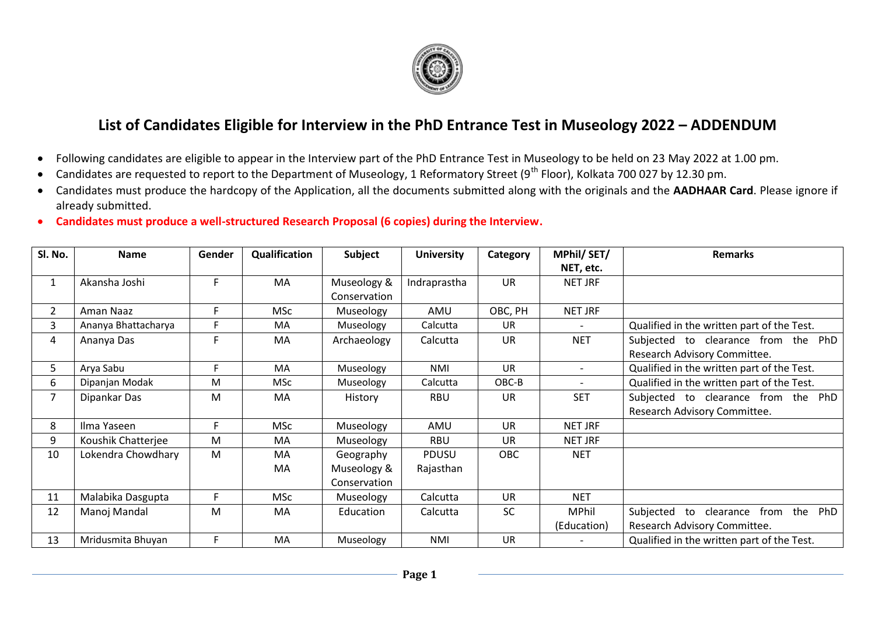

## **List of Candidates Eligible for Interview in the PhD Entrance Test in Museology 2022 – ADDENDUM**

- Following candidates are eligible to appear in the Interview part of the PhD Entrance Test in Museology to be held on 23 May 2022 at 1.00 pm.
- Candidates are requested to report to the Department of Museology, 1 Reformatory Street (9<sup>th</sup> Floor), Kolkata 700 027 by 12.30 pm.
- Candidates must produce the hardcopy of the Application, all the documents submitted along with the originals and the **AADHAAR Card**. Please ignore if already submitted.
- **Candidates must produce a well-structured Research Proposal (6 copies) during the Interview.**

| Sl. No.        | <b>Name</b>         | Gender | Qualification | <b>Subject</b> | <b>University</b> | Category   | MPhil/SET/               | <b>Remarks</b>                                     |
|----------------|---------------------|--------|---------------|----------------|-------------------|------------|--------------------------|----------------------------------------------------|
|                |                     |        |               |                |                   |            | NET, etc.                |                                                    |
| 1              | Akansha Joshi       | F      | MA            | Museology &    | Indraprastha      | <b>UR</b>  | NET JRF                  |                                                    |
|                |                     |        |               | Conservation   |                   |            |                          |                                                    |
| $\overline{2}$ | Aman Naaz           | F      | <b>MSc</b>    | Museology      | AMU               | OBC, PH    | <b>NET JRF</b>           |                                                    |
| 3              | Ananya Bhattacharya | F      | <b>MA</b>     | Museology      | Calcutta          | <b>UR</b>  |                          | Qualified in the written part of the Test.         |
| 4              | Ananya Das          | F      | MA            | Archaeology    | Calcutta          | <b>UR</b>  | <b>NET</b>               | Subjected to clearance from the PhD                |
|                |                     |        |               |                |                   |            |                          | Research Advisory Committee.                       |
| 5.             | Arya Sabu           | F.     | <b>MA</b>     | Museology      | NMI               | <b>UR</b>  | $\overline{\phantom{a}}$ | Qualified in the written part of the Test.         |
| 6              | Dipanjan Modak      | M      | <b>MSc</b>    | Museology      | Calcutta          | OBC-B      |                          | Qualified in the written part of the Test.         |
| 7              | Dipankar Das        | M      | MA.           | History        | RBU               | <b>UR</b>  | <b>SET</b>               | Subjected to clearance from the PhD                |
|                |                     |        |               |                |                   |            |                          | Research Advisory Committee.                       |
| 8              | Ilma Yaseen         | F      | <b>MSc</b>    | Museology      | AMU               | <b>UR</b>  | NET JRF                  |                                                    |
| 9              | Koushik Chatterjee  | M      | MA            | Museology      | <b>RBU</b>        | <b>UR</b>  | NET JRF                  |                                                    |
| 10             | Lokendra Chowdhary  | M      | MA            | Geography      | <b>PDUSU</b>      | <b>OBC</b> | <b>NET</b>               |                                                    |
|                |                     |        | MA            | Museology &    | Rajasthan         |            |                          |                                                    |
|                |                     |        |               | Conservation   |                   |            |                          |                                                    |
| 11             | Malabika Dasgupta   | F.     | <b>MSc</b>    | Museology      | Calcutta          | <b>UR</b>  | <b>NET</b>               |                                                    |
| 12             | Manoj Mandal        | M      | MA            | Education      | Calcutta          | <b>SC</b>  | <b>MPhil</b>             | PhD<br>Subjected<br>the<br>from<br>clearance<br>to |
|                |                     |        |               |                |                   |            | (Education)              | Research Advisory Committee.                       |
| 13             | Mridusmita Bhuyan   | F.     | MA            | Museology      | <b>NMI</b>        | <b>UR</b>  |                          | Qualified in the written part of the Test.         |